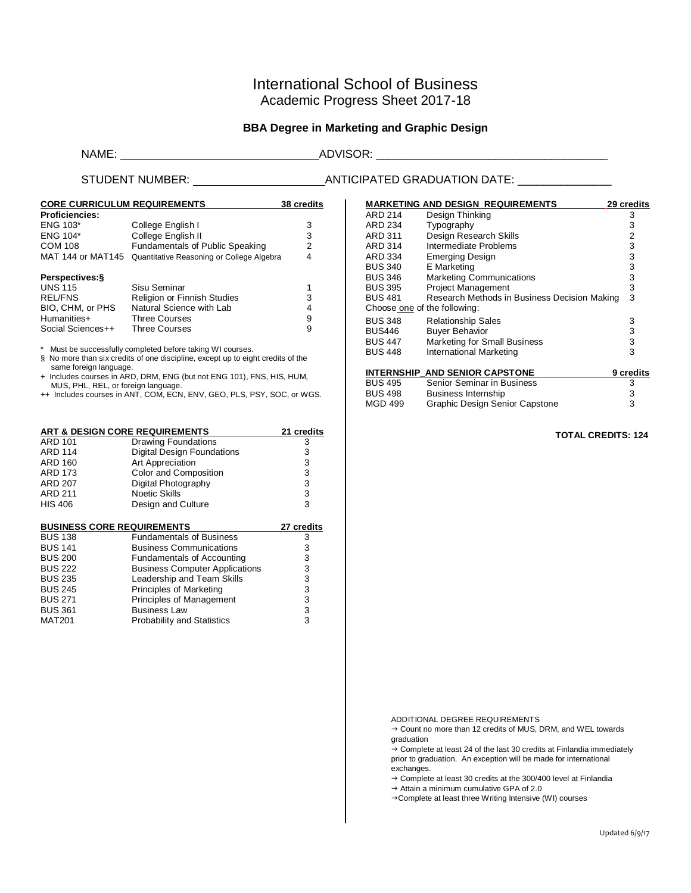# International School of Business Academic Progress Sheet 2017-18

## **BBA Degree in Marketing and Graphic Design**

### NAME: ADVISOR: \_\_\_\_\_\_\_\_\_\_\_\_\_\_\_\_\_\_\_\_\_\_\_\_\_\_\_\_\_\_\_\_\_\_\_\_\_

## STUDENT NUMBER: ANTICIPATED GRADUATION DATE: \_\_\_\_\_\_\_\_\_\_\_\_\_\_\_

| <b>CORE CURRICULUM REQUIREMENTS</b> | 38 credits                                |   |
|-------------------------------------|-------------------------------------------|---|
| <b>Proficiencies:</b>               |                                           |   |
| <b>ENG 103*</b>                     | College English I                         | 3 |
| <b>ENG 104*</b>                     | College English II                        | 3 |
| <b>COM 108</b>                      | Fundamentals of Public Speaking           | 2 |
| MAT 144 or MAT145                   | Quantitative Reasoning or College Algebra | 4 |
| Perspectives: §                     |                                           |   |
| <b>UNS 115</b>                      | Sisu Seminar                              |   |
| <b>REL/FNS</b>                      | <b>Religion or Finnish Studies</b>        | 3 |
| BIO, CHM, or PHS                    | Natural Science with Lab                  | 4 |
| Humanities+                         | <b>Three Courses</b>                      | 9 |
| Social Sciences++                   | Three Courses                             | 9 |

\* Must be successfully completed before taking WI courses.

§ No more than six credits of one discipline, except up to eight credits of the same foreign language.

+ Includes courses in ARD, DRM, ENG (but not ENG 101), FNS, HIS, HUM,

MUS, PHL, REL, or foreign language. ++ Includes courses in ANT, COM, ECN, ENV, GEO, PLS, PSY, SOC, or WGS.

| ART & DESIGN CORE REQUIREMENTS | 21 credits                        |   |
|--------------------------------|-----------------------------------|---|
| <b>ARD 101</b>                 | <b>Drawing Foundations</b>        | 3 |
| <b>ARD 114</b>                 | <b>Digital Design Foundations</b> | 3 |
| <b>ARD 160</b>                 | Art Appreciation                  | 3 |
| <b>ARD 173</b>                 | Color and Composition             | 3 |
| <b>ARD 207</b>                 | Digital Photography               | 3 |
| <b>ARD 211</b>                 | <b>Noetic Skills</b>              | 3 |
| <b>HIS 406</b>                 | Design and Culture                | 3 |

| <b>BUSINESS CORE REQUIREMENTS</b> |                                       | 27 credits |
|-----------------------------------|---------------------------------------|------------|
| <b>BUS 138</b>                    | <b>Fundamentals of Business</b>       | 3          |
| <b>BUS 141</b>                    | <b>Business Communications</b>        | 3          |
| <b>BUS 200</b>                    | <b>Fundamentals of Accounting</b>     | 3          |
| <b>BUS 222</b>                    | <b>Business Computer Applications</b> | 3          |
| <b>BUS 235</b>                    | Leadership and Team Skills            | 3          |
| <b>BUS 245</b>                    | Principles of Marketing               | 3          |
| <b>BUS 271</b>                    | Principles of Management              | 3          |
| <b>BUS 361</b>                    | <b>Business Law</b>                   | 3          |
| <b>MAT201</b>                     | <b>Probability and Statistics</b>     | 3          |
|                                   |                                       |            |

|                              | <b>MARKETING AND DESIGN REQUIREMENTS</b>     | 29 credits     |
|------------------------------|----------------------------------------------|----------------|
| ARD 214                      | Design Thinking                              | 3              |
| ARD 234                      | Typography                                   | 3              |
| ARD 311                      | Design Research Skills                       | $\overline{2}$ |
| ARD 314                      | Intermediate Problems                        | 3              |
| ARD 334                      | <b>Emerging Design</b>                       | 3              |
| <b>BUS 340</b>               | E Marketing                                  | 3              |
| <b>BUS 346</b>               | <b>Marketing Communications</b>              | 3              |
| <b>BUS 395</b>               | <b>Project Management</b>                    | 3              |
| <b>BUS 481</b>               | Research Methods in Business Decision Making | 3              |
| Choose one of the following: |                                              |                |
| <b>BUS 348</b>               | <b>Relationship Sales</b>                    | 3              |
| <b>BUS446</b>                | <b>Buyer Behavior</b>                        | 3              |
| <b>BUS 447</b>               | <b>Marketing for Small Business</b>          | 3              |
| <b>BUS 448</b>               | International Marketing                      | 3              |
|                              |                                              |                |
|                              | <b>INTERNSHIP AND SENIOR CAPSTONE</b>        | 9 credits      |
| RUS 495                      | Senior Seminar in Business                   | З              |

#### BUS 495 Senior Seminar in Business<br>BUS 498 Business Internship 3 BUS 498 Business Internship<br>
MGD 499 Graphic Design Senior Capstone 3 Graphic Design Senior Capstone

 **TOTAL CREDITS: 124**

ADDITIONAL DEGREE REQUIREMENTS

→ Count no more than 12 credits of MUS, DRM, and WEL towards graduation

 $\rightarrow$  Complete at least 24 of the last 30 credits at Finlandia immediately prior to graduation. An exception will be made for international exchanges.

→ Complete at least 30 credits at the 300/400 level at Finlandia

 $\rightarrow$  Attain a minimum cumulative GPA of 2.0

→ Complete at least three Writing Intensive (WI) courses